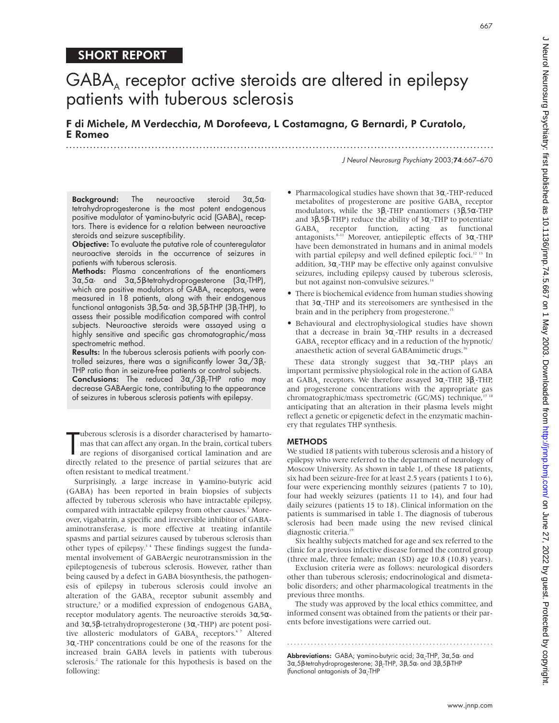# SHORT REPORT

# $GABA<sub>A</sub>$  receptor active steroids are altered in epilepsy patients with tuberous sclerosis

F di Michele, M Verdecchia, M Dorofeeva, L Costamagna, G Bernardi, P Curatolo, E Romeo .............................................................................................................................

J Neurol Neurosurg Psychiatry 2003;74:667–670

**Background:** The neuroactive steroid  $3\alpha, 5\alpha$ tetrahydroprogesterone is the most potent endogenous positive modulator of γ-amino-butyric acid (GABA)<sub>A</sub> receptors. There is evidence for a relation between neuroactive steroids and seizure susceptibility.

**Objective:** To evaluate the putative role of counteregulator neuroactive steroids in the occurrence of seizures in patients with tuberous sclerosis.

Methods: Plasma concentrations of the enantiomers 3α,5α- and 3α,5β-tetrahydroprogesterone (3α $_{\rm s}$ -THP), which are positive modulators of  $GABA_A$  receptors, were measured in 18 patients, along with their endogenous functional antagonists 3β,5α- and 3β,5β-THP (3β<sub>s</sub>-THP), to assess their possible modification compared with control subjects. Neuroactive steroids were assayed using a highly sensitive and specific gas chromatographic/mass spectrometric method.

Results: In the tuberous sclerosis patients with poorly controlled seizures, there was a significantly lower 3 $\alpha_{\scriptscriptstyle\rm s}\!/$ 3 $\beta_{\scriptscriptstyle\rm s}$ THP ratio than in seizure-free patients or control subjects. **Conclusions:** The reduced 3α¸/3β¸-THP ratio may decrease GABAergic tone, contributing to the appearance of seizures in tuberous sclerosis patients with epilepsy.

The under ous sclerosis is a disorder characterised by hamarto-<br>
mas that can affect any organ. In the brain, cortical tubers<br>
are regions of disorganised cortical lamination and are<br>
directly related to the presence of pa uberous sclerosis is a disorder characterised by hamartomas that can affect any organ. In the brain, cortical tubers are regions of disorganised cortical lamination and are often resistant to medical treatment.<sup>1</sup>

Surprisingly, a large increase in γ-amino-butyric acid (GABA) has been reported in brain biopsies of subjects affected by tuberous sclerosis who have intractable epilepsy, compared with intractable epilepsy from other causes.<sup>2</sup> Moreover, vigabatrin, a specific and irreversible inhibitor of GABAaminotransferase, is more effective at treating infantile spasms and partial seizures caused by tuberous sclerosis than other types of epilepsy.<sup>34</sup> These findings suggest the fundamental involvement of GABAergic neurotransmission in the epileptogenesis of tuberous sclerosis. However, rather than being caused by a defect in GABA biosynthesis, the pathogenesis of epilepsy in tuberous sclerosis could involve an alteration of the  $GABA_A$  receptor subunit assembly and structure,<sup>5</sup> or a modified expression of endogenous  $GABA$ <sub>4</sub> receptor modulatory agents. The neuroactive steroids 3α,5αand 3α,5β-tetrahydroprogesterone (3α,-THP) are potent positive allosteric modulators of GABA, receptors.<sup>67</sup> Altered 3α<sub>s</sub>-THP concentrations could be one of the reasons for the increased brain GABA levels in patients with tuberous sclerosis.<sup>2</sup> The rationale for this hypothesis is based on the following:

- Pharmacological studies have shown that  $3\alpha_s$ -THP-reduced metabolites of progesterone are positive GABA, receptor modulators, while the 3 $β_$ -THP enantiomers (3 $β$ ,5α-THP and 3β,5β-THP) reduce the ability of 3α<sub>s</sub>-THP to potentiate GABA, receptor function, acting as functional antagonists. $^{8-11}$  Moreover, antiepileptic effects of 3 $\alpha_{\text{s}}$ -THP have been demonstrated in humans and in animal models with partial epilepsy and well defined epileptic foci.<sup>12 13</sup> In addition, 3α<sub>s</sub>-THP may be effective only against convulsive seizures, including epilepsy caused by tuberous sclerosis, but not against non-convulsive seizures.<sup>14</sup>
- There is biochemical evidence from human studies showing that  $3\alpha$ <sub>s</sub>-THP and its stereoisomers are synthesised in the brain and in the periphery from progesterone.<sup>15</sup>
- Behavioural and electrophysiological studies have shown that a decrease in brain  $3α<sub>s</sub>$ -THP results in a decreased GABA, receptor efficacy and in a reduction of the hypnotic/ anaesthetic action of several GABAmimetic drugs.<sup>16</sup>

These data strongly suggest that  $3\alpha_s$ -THP plays an important permissive physiological role in the action of GABA at GABA<sub>A</sub> receptors. We therefore assayed 3 $\alpha_{\text{s}}$ -THP, 3 $\beta_{\text{s}}$ -THP, and progesterone concentrations with the appropriate gas chromatographic/mass spectrometric (GC/MS) technique,<sup>17 18</sup> anticipating that an alteration in their plasma levels might reflect a genetic or epigenetic defect in the enzymatic machinery that regulates THP synthesis.

# **METHODS**

We studied 18 patients with tuberous sclerosis and a history of epilepsy who were referred to the department of neurology of Moscow University. As shown in table 1, of these 18 patients, six had been seizure-free for at least 2.5 years (patients 1 to 6), four were experiencing monthly seizures (patients 7 to 10), four had weekly seizures (patients 11 to 14), and four had daily seizures (patients 15 to 18). Clinical information on the patients is summarised in table 1. The diagnosis of tuberous sclerosis had been made using the new revised clinical diagnostic criteria.19

Six healthy subjects matched for age and sex referred to the clinic for a previous infective disease formed the control group (three male, three female; mean (SD) age 10.8 (10.8) years).

Exclusion criteria were as follows: neurological disorders other than tuberous sclerosis; endocrinological and dismetabolic disorders; and other pharmacological treatments in the previous three months.

The study was approved by the local ethics committee, and informed consent was obtained from the patients or their parents before investigations were carried out.

.............................................................

**Abbreviations:** GABA; γ-amino-butyric acid; 3α<sub>s</sub>-THP, 3α,5α- and 3α,5β-tetrahydroprogesterone; 3β<sub>s</sub>-THP, 3β,5α- and 3β,5β-THP (functional antagonists of  $3\alpha_s$ -THP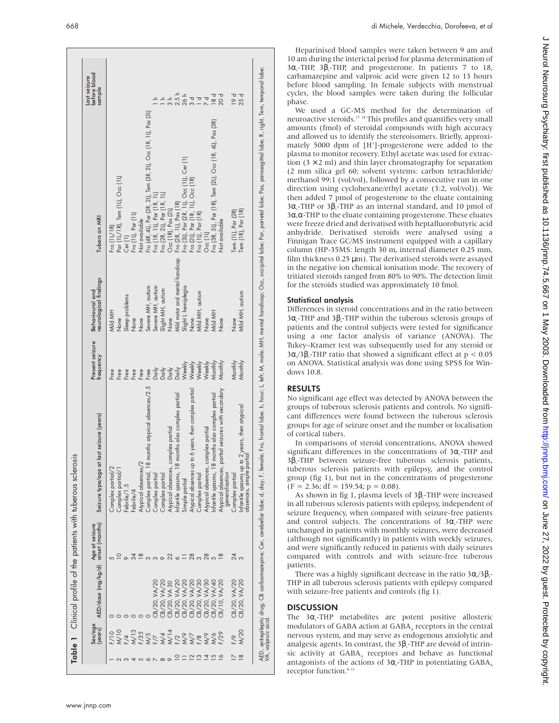|                       | Sex/age<br>(years)              | AED/dose (mg/kg/d) | onset (months)<br>Age at seizure | Seizure type/age at last seizure (years)                                | Present seizure<br>frequency | neurological findings<br>Behavioural and | Tubers on MRI                                                                                                                   | Last seizure<br>before blood<br>sample |
|-----------------------|---------------------------------|--------------------|----------------------------------|-------------------------------------------------------------------------|------------------------------|------------------------------------------|---------------------------------------------------------------------------------------------------------------------------------|----------------------------------------|
|                       | F/10                            |                    |                                  | Complex partial/2                                                       | Free                         | Mild MH                                  | Fro $(11/1R)$                                                                                                                   |                                        |
|                       | M/10                            |                    |                                  | Complex partial/                                                        | Free                         | None                                     | Par (1L/1R), Tem (1L), Occ (1L)                                                                                                 |                                        |
|                       |                                 |                    |                                  | Febrile/1.5                                                             | Free                         | Sleep problems                           | Cer(1)                                                                                                                          |                                        |
|                       | F/4<br>N/13<br>N/5<br>N/5       |                    | 34                               | Febrile/4                                                               | Free                         | None                                     | Fro (11), Par (11)                                                                                                              |                                        |
|                       |                                 |                    | $\frac{8}{1}$                    | Atypical absences/                                                      | Free                         | None                                     | Not available                                                                                                                   |                                        |
| $\breve{\phantom{0}}$ |                                 |                    |                                  | 18 months atypical absences/2.5<br>Complex partial,                     | Free                         | Severe MH, autism                        |                                                                                                                                 |                                        |
|                       |                                 | CB/20, VA/2        | $\infty$                         | Complex partial                                                         |                              |                                          | Fro (4R, 4L), Per (2R, 2L), Tem (3R, 2L), Occ (1R, 1L), Pas (3L)<br>Fro (1R, 1L), Per (1R, 1L)<br>Fro (2R, 2L), Per (1R, 1L)    |                                        |
|                       |                                 | CB/20, VA/20       | $\circ$                          | Complex partial                                                         |                              | Severe MH, autism<br>Slight MH, autism   |                                                                                                                                 |                                        |
|                       |                                 | CB/20, VA 30       |                                  | complex partial<br>Atypical absences,                                   |                              | None                                     | Occ (1R), Pas (2L)                                                                                                              |                                        |
|                       | FXXFXXXX<br>XXXXXXXX<br>FXXXXXX | CB/20, VA/20       | $\frac{22}{6}$                   | months also complex partial<br>Infantile spasms, 18                     |                              | Mild motor and mental handicap           | , fro (2R, 1L), Pas (1R)<br>Fro (3L), Par (2R, 1L), Occ (1L), Cer (1)<br>Fro (2L), Par (1R, 1L), Occ (1R)<br>Occ (1L), Par (1R) | $2.5h$<br>$26h$                        |
|                       |                                 | CB/20, VA/20       | $\equiv$                         | Simple partial                                                          |                              | Slight L hemiplegia                      |                                                                                                                                 |                                        |
|                       |                                 | CB/20, VA/20       | $\frac{8}{3}$                    | Atypical absences up to 6 years, then complex partial                   | Weekly                       | None                                     |                                                                                                                                 | ರ<br>೧                                 |
|                       |                                 | CB/20, VA/30       |                                  | Complex partial                                                         | Weekly                       | Mild MH, autism                          |                                                                                                                                 | $\overline{\phantom{a}}$               |
|                       |                                 | CB/20, VA/30       | 28                               | complex partial<br>Atypical absences,                                   | Weekly                       | None                                     |                                                                                                                                 |                                        |
|                       | M/6                             | CB/20, VA/40       | $\sqrt{2}$                       | months also complex partial<br>Infantile spasms, 18                     | Monthly                      | Mild MH                                  | Fro (3R, 5L), Par (1R), Tem (2L), Occ (1R, 4L), Pas (3R)                                                                        | 18d                                    |
|                       | F/29                            | CB/10, VA/20       | $\frac{8}{1}$                    | partial seizures with secondary<br>Atypical absences,<br>generalisation | Monthly                      | None                                     | Not available                                                                                                                   | 20d                                    |
|                       | F/9                             | CB/20, VA/20       | 24                               | Complex partial                                                         | Monthly                      | None                                     | Tem (11), Par (2R)                                                                                                              | $\frac{1}{2}$                          |
|                       | <b>M/20</b>                     | CB/20, VA/20       |                                  | absences, simple partial<br>absences, simple partial                    | Monthly                      | Mild MH, autism                          | Tem (IR), Par (IR)                                                                                                              | 25 d                                   |

Heparinised blood samples were taken between 9 am and 10 am during the interictal period for plasma determination of  $3\alpha_s$ -THP,  $3\beta_s$ -THP, and progesterone. In patients 7 to 18, carbamazepine and valproic acid were given 12 to 13 hours before blood sampling. In female subjects with menstrual cycles, the blood samples were taken during the follicular phase.

We used a GC-MS method for the determination of neuroactive steroids.17 18 This profiles and quantifies very small amounts (fmol) of steroidal compounds with high accuracy and allowed us to identify the stereoisomers. Briefly, approximately 5000 dpm of [H<sup>3</sup>]-progesterone were added to the plasma to monitor recovery. Ethyl acetate was used for extraction  $(3 \times 2$  ml) and thin layer chromatography for separation (2 mm silica gel 60; solvent systems: carbon tetrachloride/ methanol 99:1 (vol/vol), followed by a consecutive run in one direction using cyclohexane/ethyl acetate (3:2, vol/vol)). We then added 7 pmol of progesterone to the eluate containing  $3\alpha_s$ -THP or  $3\beta_s$ -THP as an internal standard, and 10 pmol of 3α,α-THP to the eluate containing progesterone. These eluates were freeze dried and derivatised with heptafluorobutyric acid anhydride. Derivatised steroids were analysed using a Finnigan Trace GC/MS instrument equipped with a capillary column (HP-35MS: length 30 m, internal diameter 0.25 mm, film thickness 0.25 µm). The derivatised steroids were assayed in the negative ion chemical ionisation mode. The recovery of tritiated steroids ranged from 80% to 90%. The detection limit for the steroids studied was approximately 10 fmol.

### Statistical analysis

Differences in steroid concentrations and in the ratio between  $3\alpha_s$ -THP and  $3\beta_s$ -THP within the tuberous sclerosis groups of patients and the control subjects were tested for significance using a one factor analysis of variance (ANOVA). The Tukey–Kramer test was subsequently used for any steroid or  $3\alpha\sqrt{3}\beta_s$ -THP ratio that showed a significant effect at  $p < 0.05$ on ANOVA. Statistical analysis was done using SPSS for Windows 10.8.

# RESULTS

No significant age effect was detected by ANOVA between the groups of tuberous sclerosis patients and controls. No significant differences were found between the tuberous sclerosis groups for age of seizure onset and the number or localisation of cortical tubers.

In comparisons of steroid concentrations, ANOVA showed significant differences in the concentrations of  $3\alpha_s$ -THP and 3β<sub>s</sub>-THP between seizure-free tuberous sclerosis patients, tuberous sclerosis patients with epilepsy, and the control group (fig 1), but not in the concentrations of progesterone  $(F = 2.36; df = 159.54; p = 0.08).$ 

As shown in fig 1, plasma levels of  $3\beta_s$ -THP were increased in all tuberous sclerosis patients with epilepsy, independent of seizure frequency, when compared with seizure-free patients and control subjects. The concentrations of 3α<sub>s</sub>-THP were unchanged in patients with monthly seizures, were decreased (although not significantly) in patients with weekly seizures, and were significantly reduced in patients with daily seizures compared with controls and with seizure-free tuberous patients.

There was a highly significant decrease in the ratio 3 $\alpha_{s}/3\beta_{s}$ -THP in all tuberous sclerosis patients with epilepsy compared with seizure-free patients and controls (fig 1).

# **DISCUSSION**

The 3α<sub>s</sub>-THP metabolites are potent positive allosteric modulators of GABA action at  $GABA$ <sub>4</sub> receptors in the central nervous system, and may serve as endogenous anxiolytic and analgesic agents. In contrast, the  $3\beta_s$ -THP are devoid of intrinsic activity at GABA, receptors and behave as functional antagonists of the actions of  $3\alpha_s$ -THP in potentiating GABA<sub>A</sub> receptor function.<sup>8-11</sup>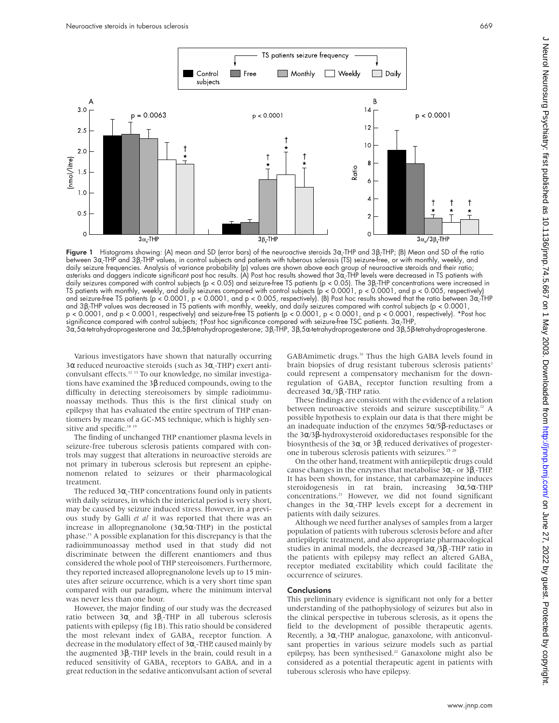

**Figure 1** Histograms showing: (A) mean and SD (error bars) of the neuroactive steroids 3 $\alpha$  THP and 3B THP; (B) Mean and SD of the ratio between 3α-THP and 3β-THP values, in control subjects and patients with tuberous sclerosis (TS) seizure-free, or with monthly, weekly, and daily seizure frequencies. Analysis of variance probability (p) values are shown above each group of neuroactive steroids and their ratio; asterisks and daggers indicate significant post hoc results. (A) Post hoc results showed that 3α. THP levels were decreased in TS patients with daily seizures compared with control subjects (p < 0.05) and seizure-free TS patients (p < 0.05). The 3β-THP concentrations were increased in TS patients with monthly, weekly, and daily seizures compared with control subjects (p < 0.0001, p < 0.0001, and p < 0.005, respectively) and seizure-free TS patients (p < 0.0001, p < 0.0001, and p < 0.005, respectively). (B) Post hoc results showed that the ratio between 3α-THP and 3β<sup>s</sup> -THP values was decreased in TS patients with monthly, weekly, and daily seizures compared with control subjects (p < 0.0001, p < 0.0001, and p < 0.0001, respectively) and seizure-free TS patients (p < 0.0001, p < 0.0001, and p < 0.0001, respectively). \*Post hoc significance compared with control subjects; †Post hoc significance compared with seizure-free TSC patients. 3 $\alpha_{\text{s}}$ THP, 3α,5α-tetrahydroprogesterone and 3α,5β-tetrahydroprogesterone; 3β,-THP, 3β,5α-tetrahydroprogesterone and 3β,5β-tetrahydroprogesterone.

Various investigators have shown that naturally occurring 3α reduced neuroactive steroids (such as 3α, THP) exert anticonvulsant effects.12 13 To our knowledge, no similar investigations have examined the 3β reduced compounds, owing to the difficulty in detecting stereoisomers by simple radioimmunoassay methods. Thus this is the first clinical study on epilepsy that has evaluated the entire spectrum of THP enantiomers by means of a GC-MS technique, which is highly sensitive and specific.<sup>18 19</sup>

The finding of unchanged THP enantiomer plasma levels in seizure-free tuberous sclerosis patients compared with controls may suggest that alterations in neuroactive steroids are not primary in tuberous sclerosis but represent an epiphenomenon related to seizures or their pharmacological treatment.

The reduced  $3\alpha_{s}$ -THP concentrations found only in patients with daily seizures, in which the interictal period is very short, may be caused by seizure induced stress. However, in a previous study by Galli *et al* it was reported that there was an increase in allopregnanolone (3α,5α-THP) in the postictal phase.13 A possible explanation for this discrepancy is that the radioimmunoassay method used in that study did not discriminate between the different enantiomers and thus considered the whole pool of THP stereoisomers. Furthermore, they reported increased allopregnanolone levels up to 15 minutes after seizure occurrence, which is a very short time span compared with our paradigm, where the minimum interval was never less than one hour.

However, the major finding of our study was the decreased ratio between 3α, and 3β,-THP in all tuberous sclerosis patients with epilepsy (fig 1B). This ratio should be considered the most relevant index of  $GABA$  receptor function. A decrease in the modulatory effect of 3 $\alpha_{\text{s}}$ -THP, caused mainly by the augmented  $3\beta_s$ -THP levels in the brain, could result in a reduced sensitivity of GABA, receptors to GABA, and in a great reduction in the sedative anticonvulsant action of several

GABAmimetic drugs.16 Thus the high GABA levels found in brain biopsies of drug resistant tuberous sclerosis patients<sup>2</sup> could represent a compensatory mechanism for the downregulation of GABA, receptor function resulting from a decreased 3α,/3β,-THP ratio.

These findings are consistent with the evidence of a relation between neuroactive steroids and seizure susceptibility.<sup>12</sup> A possible hypothesis to explain our data is that there might be an inadequate induction of the enzymes 5α/5β-reductases or the 3α/3β-hydroxysteroid oxidoreductases responsible for the biosynthesis of the 3 $\alpha$  or 3 $\beta$  reduced derivatives of progesterone in tuberous sclerosis patients with seizures.<sup>15 20</sup>

On the other hand, treatment with antiepileptic drugs could cause changes in the enzymes that metabolise 3 $\alpha_{\rm s}$ - or 3 $\beta_{\rm s}$ -THP. It has been shown, for instance, that carbamazepine induces steroidogenesis in rat brain, increasing 3α,5α-THP concentrations.21 However, we did not found significant changes in the  $3\alpha_s$ -THP levels except for a decrement in patients with daily seizures.

Although we need further analyses of samples from a larger population of patients with tuberous sclerosis before and after antiepileptic treatment, and also appropriate pharmacological studies in animal models, the decreased  $3\alpha\sqrt{3}\beta_s$ -THP ratio in the patients with epilepsy may reflect an altered  $\rm{GABA}_A$ receptor mediated excitability which could facilitate the occurrence of seizures.

### **Conclusions**

This preliminary evidence is significant not only for a better understanding of the pathophysiology of seizures but also in the clinical perspective in tuberous sclerosis, as it opens the field to the development of possible therapeutic agents. Recently, a 3α<sub>s</sub>-THP analogue, ganaxolone, with anticonvulsant properties in various seizure models such as partial epilepsy, has been synthesised.<sup>22</sup> Ganaxolone might also be considered as a potential therapeutic agent in patients with tuberous sclerosis who have epilepsy.